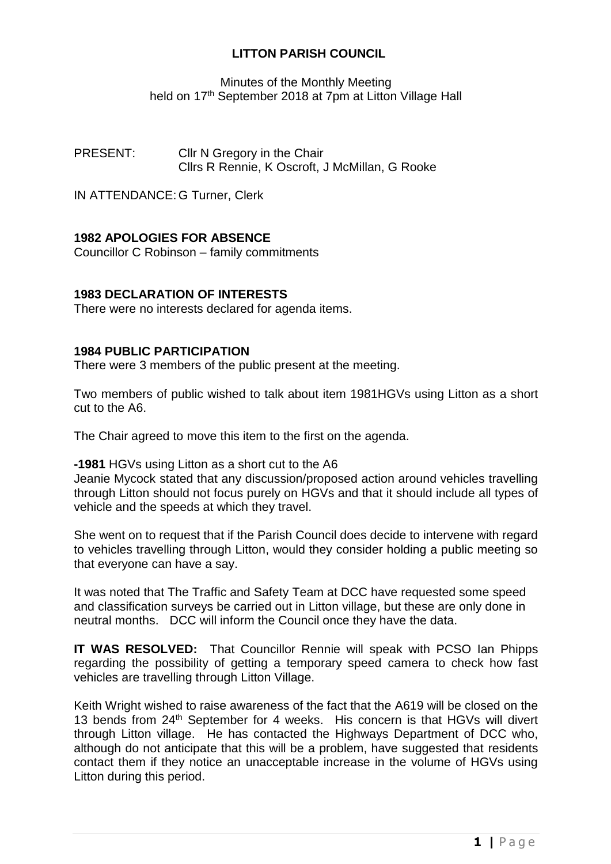## **LITTON PARISH COUNCIL**

Minutes of the Monthly Meeting held on 17<sup>th</sup> September 2018 at 7pm at Litton Village Hall

PRESENT: Cllr N Gregory in the Chair Cllrs R Rennie, K Oscroft, J McMillan, G Rooke

IN ATTENDANCE: G Turner, Clerk

# **1982 APOLOGIES FOR ABSENCE**

Councillor C Robinson – family commitments

## **1983 DECLARATION OF INTERESTS**

There were no interests declared for agenda items.

## **1984 PUBLIC PARTICIPATION**

There were 3 members of the public present at the meeting.

Two members of public wished to talk about item 1981HGVs using Litton as a short cut to the A6.

The Chair agreed to move this item to the first on the agenda.

**-1981** HGVs using Litton as a short cut to the A6

Jeanie Mycock stated that any discussion/proposed action around vehicles travelling through Litton should not focus purely on HGVs and that it should include all types of vehicle and the speeds at which they travel.

She went on to request that if the Parish Council does decide to intervene with regard to vehicles travelling through Litton, would they consider holding a public meeting so that everyone can have a say.

It was noted that The Traffic and Safety Team at DCC have requested some speed and classification surveys be carried out in Litton village, but these are only done in neutral months. DCC will inform the Council once they have the data.

**IT WAS RESOLVED:** That Councillor Rennie will speak with PCSO Ian Phipps regarding the possibility of getting a temporary speed camera to check how fast vehicles are travelling through Litton Village.

Keith Wright wished to raise awareness of the fact that the A619 will be closed on the 13 bends from 24th September for 4 weeks. His concern is that HGVs will divert through Litton village. He has contacted the Highways Department of DCC who, although do not anticipate that this will be a problem, have suggested that residents contact them if they notice an unacceptable increase in the volume of HGVs using Litton during this period.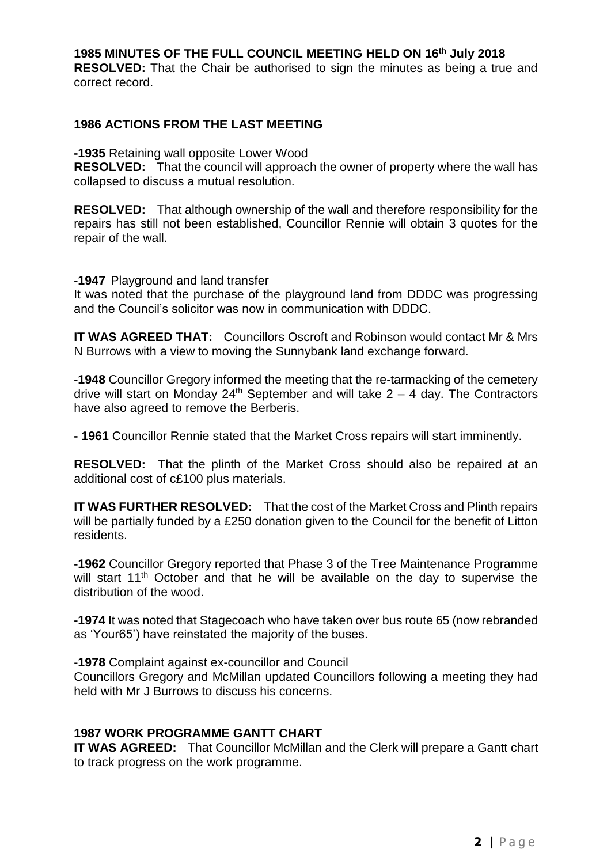# **1985 MINUTES OF THE FULL COUNCIL MEETING HELD ON 16 th July 2018**

**RESOLVED:** That the Chair be authorised to sign the minutes as being a true and correct record.

### **1986 ACTIONS FROM THE LAST MEETING**

**-1935** Retaining wall opposite Lower Wood

**RESOLVED:** That the council will approach the owner of property where the wall has collapsed to discuss a mutual resolution.

**RESOLVED:** That although ownership of the wall and therefore responsibility for the repairs has still not been established, Councillor Rennie will obtain 3 quotes for the repair of the wall.

**-1947** Playground and land transfer

It was noted that the purchase of the playground land from DDDC was progressing and the Council's solicitor was now in communication with DDDC.

**IT WAS AGREED THAT:** Councillors Oscroft and Robinson would contact Mr & Mrs N Burrows with a view to moving the Sunnybank land exchange forward.

**-1948** Councillor Gregory informed the meeting that the re-tarmacking of the cemetery drive will start on Monday 24<sup>th</sup> September and will take  $2 - 4$  day. The Contractors have also agreed to remove the Berberis.

**- 1961** Councillor Rennie stated that the Market Cross repairs will start imminently.

**RESOLVED:** That the plinth of the Market Cross should also be repaired at an additional cost of c£100 plus materials.

**IT WAS FURTHER RESOLVED:** That the cost of the Market Cross and Plinth repairs will be partially funded by a £250 donation given to the Council for the benefit of Litton residents.

**-1962** Councillor Gregory reported that Phase 3 of the Tree Maintenance Programme will start 11<sup>th</sup> October and that he will be available on the day to supervise the distribution of the wood.

**-1974** It was noted that Stagecoach who have taken over bus route 65 (now rebranded as 'Your65') have reinstated the majority of the buses.

-**1978** Complaint against ex-councillor and Council

Councillors Gregory and McMillan updated Councillors following a meeting they had held with Mr J Burrows to discuss his concerns.

## **1987 WORK PROGRAMME GANTT CHART**

**IT WAS AGREED:** That Councillor McMillan and the Clerk will prepare a Gantt chart to track progress on the work programme.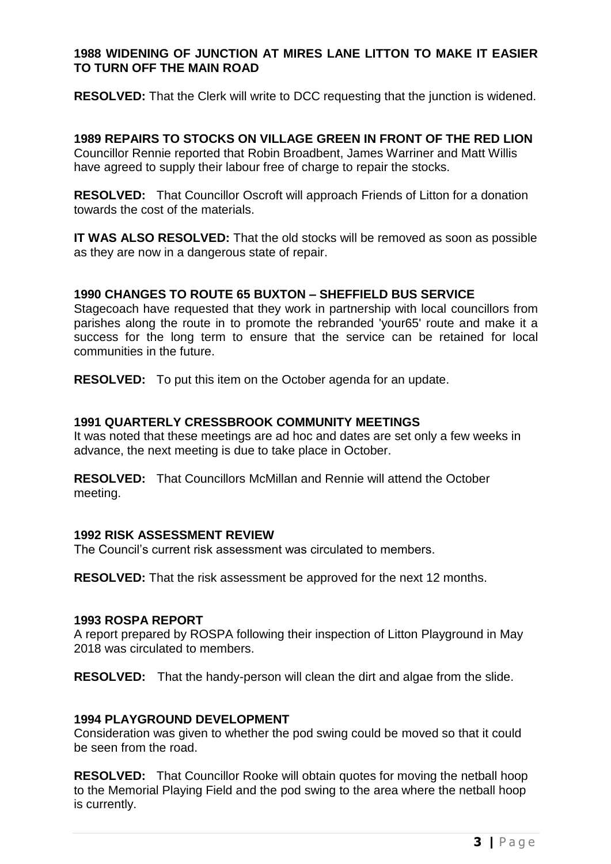## **1988 WIDENING OF JUNCTION AT MIRES LANE LITTON TO MAKE IT EASIER TO TURN OFF THE MAIN ROAD**

**RESOLVED:** That the Clerk will write to DCC requesting that the junction is widened.

**1989 REPAIRS TO STOCKS ON VILLAGE GREEN IN FRONT OF THE RED LION** Councillor Rennie reported that Robin Broadbent, James Warriner and Matt Willis have agreed to supply their labour free of charge to repair the stocks.

**RESOLVED:** That Councillor Oscroft will approach Friends of Litton for a donation towards the cost of the materials.

**IT WAS ALSO RESOLVED:** That the old stocks will be removed as soon as possible as they are now in a dangerous state of repair.

## **1990 CHANGES TO ROUTE 65 BUXTON – SHEFFIELD BUS SERVICE**

Stagecoach have requested that they work in partnership with local councillors from parishes along the route in to promote the rebranded 'your65' route and make it a success for the long term to ensure that the service can be retained for local communities in the future.

**RESOLVED:** To put this item on the October agenda for an update.

### **1991 QUARTERLY CRESSBROOK COMMUNITY MEETINGS**

It was noted that these meetings are ad hoc and dates are set only a few weeks in advance, the next meeting is due to take place in October.

**RESOLVED:** That Councillors McMillan and Rennie will attend the October meeting.

#### **1992 RISK ASSESSMENT REVIEW**

The Council's current risk assessment was circulated to members.

**RESOLVED:** That the risk assessment be approved for the next 12 months.

#### **1993 ROSPA REPORT**

A report prepared by ROSPA following their inspection of Litton Playground in May 2018 was circulated to members.

**RESOLVED:** That the handy-person will clean the dirt and algae from the slide.

### **1994 PLAYGROUND DEVELOPMENT**

Consideration was given to whether the pod swing could be moved so that it could be seen from the road.

**RESOLVED:** That Councillor Rooke will obtain quotes for moving the netball hoop to the Memorial Playing Field and the pod swing to the area where the netball hoop is currently.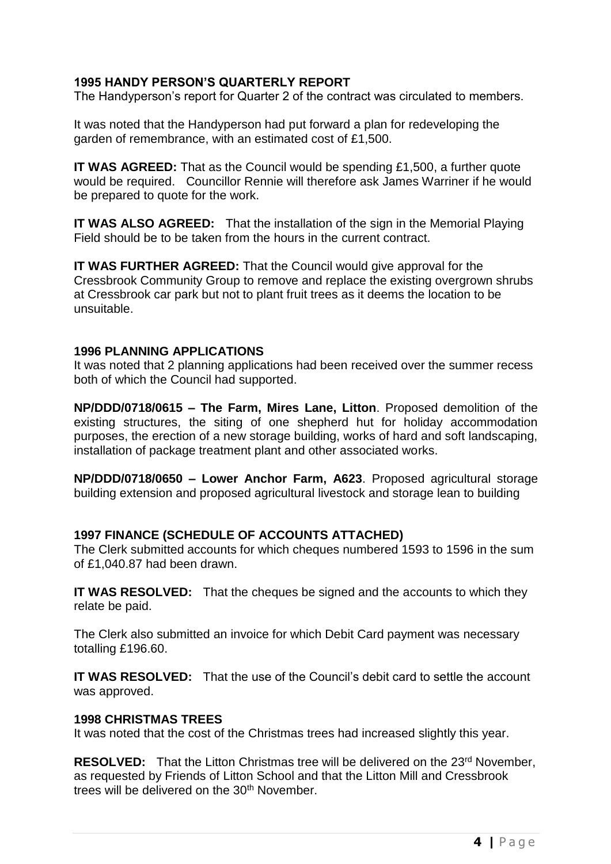# **1995 HANDY PERSON'S QUARTERLY REPORT**

The Handyperson's report for Quarter 2 of the contract was circulated to members.

It was noted that the Handyperson had put forward a plan for redeveloping the garden of remembrance, with an estimated cost of £1,500.

**IT WAS AGREED:** That as the Council would be spending £1,500, a further quote would be required. Councillor Rennie will therefore ask James Warriner if he would be prepared to quote for the work.

**IT WAS ALSO AGREED:** That the installation of the sign in the Memorial Playing Field should be to be taken from the hours in the current contract.

**IT WAS FURTHER AGREED:** That the Council would give approval for the Cressbrook Community Group to remove and replace the existing overgrown shrubs at Cressbrook car park but not to plant fruit trees as it deems the location to be unsuitable.

# **1996 PLANNING APPLICATIONS**

It was noted that 2 planning applications had been received over the summer recess both of which the Council had supported.

**NP/DDD/0718/0615 – The Farm, Mires Lane, Litton**. Proposed demolition of the existing structures, the siting of one shepherd hut for holiday accommodation purposes, the erection of a new storage building, works of hard and soft landscaping, installation of package treatment plant and other associated works.

**NP/DDD/0718/0650 – Lower Anchor Farm, A623**. Proposed agricultural storage building extension and proposed agricultural livestock and storage lean to building

## **1997 FINANCE (SCHEDULE OF ACCOUNTS ATTACHED)**

The Clerk submitted accounts for which cheques numbered 1593 to 1596 in the sum of £1,040.87 had been drawn.

**IT WAS RESOLVED:** That the cheques be signed and the accounts to which they relate be paid.

The Clerk also submitted an invoice for which Debit Card payment was necessary totalling £196.60.

**IT WAS RESOLVED:** That the use of the Council's debit card to settle the account was approved.

## **1998 CHRISTMAS TREES**

It was noted that the cost of the Christmas trees had increased slightly this year.

**RESOLVED:** That the Litton Christmas tree will be delivered on the 23<sup>rd</sup> November, as requested by Friends of Litton School and that the Litton Mill and Cressbrook trees will be delivered on the 30<sup>th</sup> November.